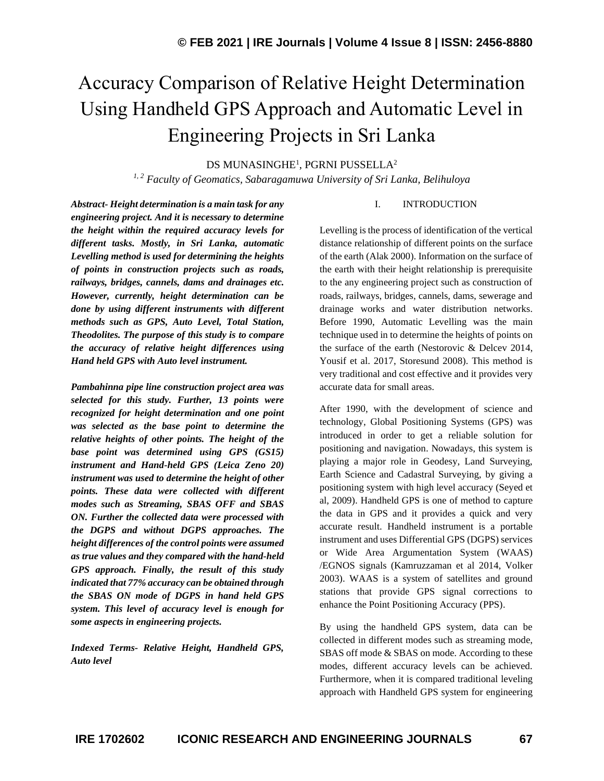# Accuracy Comparison of Relative Height Determination Using Handheld GPS Approach and Automatic Level in Engineering Projects in Sri Lanka

DS MUNASINGHE $^{\rm l}$ , PGRNI PUSSELLA $^{\rm 2}$ 

*1, 2 Faculty of Geomatics, Sabaragamuwa University of Sri Lanka, Belihuloya*

*Abstract- Height determination is a main task for any engineering project. And it is necessary to determine the height within the required accuracy levels for different tasks. Mostly, in Sri Lanka, automatic Levelling method is used for determining the heights of points in construction projects such as roads, railways, bridges, cannels, dams and drainages etc. However, currently, height determination can be done by using different instruments with different methods such as GPS, Auto Level, Total Station, Theodolites. The purpose of this study is to compare the accuracy of relative height differences using Hand held GPS with Auto level instrument.*

*Pambahinna pipe line construction project area was selected for this study. Further, 13 points were recognized for height determination and one point was selected as the base point to determine the relative heights of other points. The height of the base point was determined using GPS (GS15) instrument and Hand-held GPS (Leica Zeno 20) instrument was used to determine the height of other points. These data were collected with different modes such as Streaming, SBAS OFF and SBAS ON. Further the collected data were processed with the DGPS and without DGPS approaches. The height differences of the control points were assumed as true values and they compared with the hand-held GPS approach. Finally, the result of this study indicated that 77% accuracy can be obtained through the SBAS ON mode of DGPS in hand held GPS system. This level of accuracy level is enough for some aspects in engineering projects.*

*Indexed Terms- Relative Height, Handheld GPS, Auto level*

#### I. INTRODUCTION

Levelling is the process of identification of the vertical distance relationship of different points on the surface of the earth (Alak 2000). Information on the surface of the earth with their height relationship is prerequisite to the any engineering project such as construction of roads, railways, bridges, cannels, dams, sewerage and drainage works and water distribution networks. Before 1990, Automatic Levelling was the main technique used in to determine the heights of points on the surface of the earth (Nestorovic & Delcev 2014, Yousif et al. 2017, Storesund 2008). This method is very traditional and cost effective and it provides very accurate data for small areas.

After 1990, with the development of science and technology, Global Positioning Systems (GPS) was introduced in order to get a reliable solution for positioning and navigation. Nowadays, this system is playing a major role in Geodesy, Land Surveying, Earth Science and Cadastral Surveying, by giving a positioning system with high level accuracy (Seyed et al, 2009). Handheld GPS is one of method to capture the data in GPS and it provides a quick and very accurate result. Handheld instrument is a portable instrument and uses Differential GPS (DGPS) services or Wide Area Argumentation System (WAAS) /EGNOS signals (Kamruzzaman et al 2014, Volker 2003). WAAS is a system of satellites and ground stations that provide GPS signal corrections to enhance the Point Positioning Accuracy (PPS).

By using the handheld GPS system, data can be collected in different modes such as streaming mode, SBAS off mode & SBAS on mode. According to these modes, different accuracy levels can be achieved. Furthermore, when it is compared traditional leveling approach with Handheld GPS system for engineering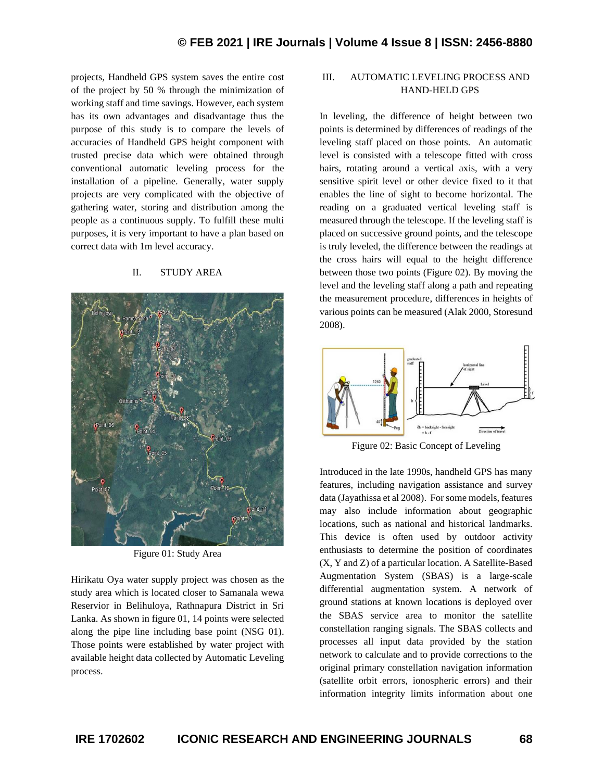projects, Handheld GPS system saves the entire cost of the project by 50 % through the minimization of working staff and time savings. However, each system has its own advantages and disadvantage thus the purpose of this study is to compare the levels of accuracies of Handheld GPS height component with trusted precise data which were obtained through conventional automatic leveling process for the installation of a pipeline. Generally, water supply projects are very complicated with the objective of gathering water, storing and distribution among the people as a continuous supply. To fulfill these multi purposes, it is very important to have a plan based on correct data with 1m level accuracy.

### II. STUDY AREA



Figure 01: Study Area

Hirikatu Oya water supply project was chosen as the study area which is located closer to Samanala wewa Reservior in Belihuloya, Rathnapura District in Sri Lanka. As shown in figure 01, 14 points were selected along the pipe line including base point (NSG 01). Those points were established by water project with available height data collected by Automatic Leveling process.

## III. AUTOMATIC LEVELING PROCESS AND HAND-HELD GPS

In leveling, the difference of height between two points is determined by differences of readings of the leveling staff placed on those points. An automatic level is consisted with a telescope fitted with cross hairs, rotating around a vertical axis, with a very sensitive spirit level or other device fixed to it that enables the line of sight to become horizontal. The reading on a graduated vertical leveling staff is measured through the telescope. If the leveling staff is placed on successive ground points, and the telescope is truly leveled, the difference between the readings at the cross hairs will equal to the height difference between those two points (Figure 02). By moving the level and the leveling staff along a path and repeating the measurement procedure, differences in heights of various points can be measured (Alak 2000, Storesund 2008).



Figure 02: Basic Concept of Leveling

Introduced in the late 1990s, handheld GPS has many features, including navigation assistance and survey data (Jayathissa et al 2008). For some models, features may also include information about geographic locations, such as national and historical landmarks. This device is often used by outdoor activity enthusiasts to determine the position of coordinates (X, Y and Z) of a particular location. A Satellite-Based Augmentation System (SBAS) is a large-scale differential augmentation system. A network of ground stations at known locations is deployed over the SBAS service area to monitor the satellite constellation ranging signals. The SBAS collects and processes all input data provided by the station network to calculate and to provide corrections to the original primary constellation navigation information (satellite orbit errors, ionospheric errors) and their information integrity limits information about one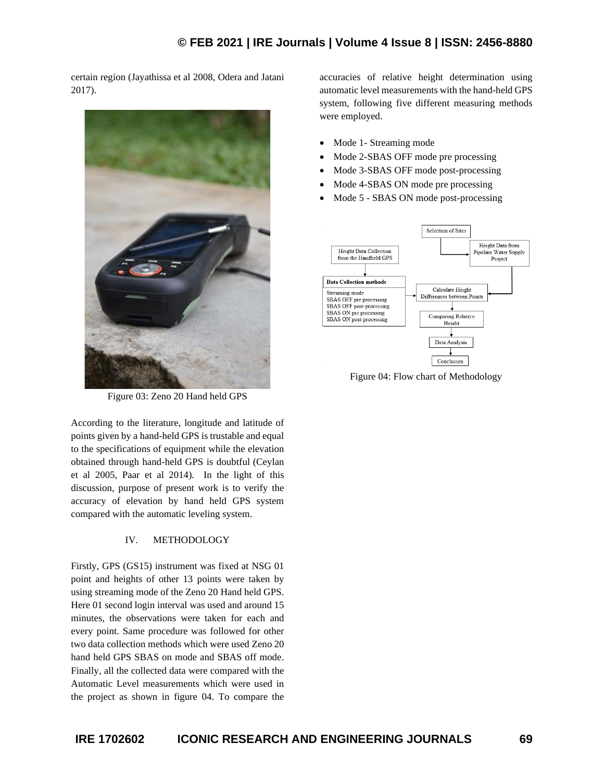certain region (Jayathissa et al 2008, Odera and Jatani 2017).



Figure 03: Zeno 20 Hand held GPS

According to the literature, longitude and latitude of points given by a hand-held GPS is trustable and equal to the specifications of equipment while the elevation obtained through hand-held GPS is doubtful (Ceylan et al 2005, Paar et al 2014). In the light of this discussion, purpose of present work is to verify the accuracy of elevation by hand held GPS system compared with the automatic leveling system.

## IV. METHODOLOGY

Firstly, GPS (GS15) instrument was fixed at NSG 01 point and heights of other 13 points were taken by using streaming mode of the Zeno 20 Hand held GPS. Here 01 second login interval was used and around 15 minutes, the observations were taken for each and every point. Same procedure was followed for other two data collection methods which were used Zeno 20 hand held GPS SBAS on mode and SBAS off mode. Finally, all the collected data were compared with the Automatic Level measurements which were used in the project as shown in figure 04. To compare the

accuracies of relative height determination using automatic level measurements with the hand-held GPS system, following five different measuring methods were employed.

- Mode 1- Streaming mode
- Mode 2-SBAS OFF mode pre processing
- Mode 3-SBAS OFF mode post-processing
- Mode 4-SBAS ON mode pre processing
- Mode 5 SBAS ON mode post-processing



Figure 04: Flow chart of Methodology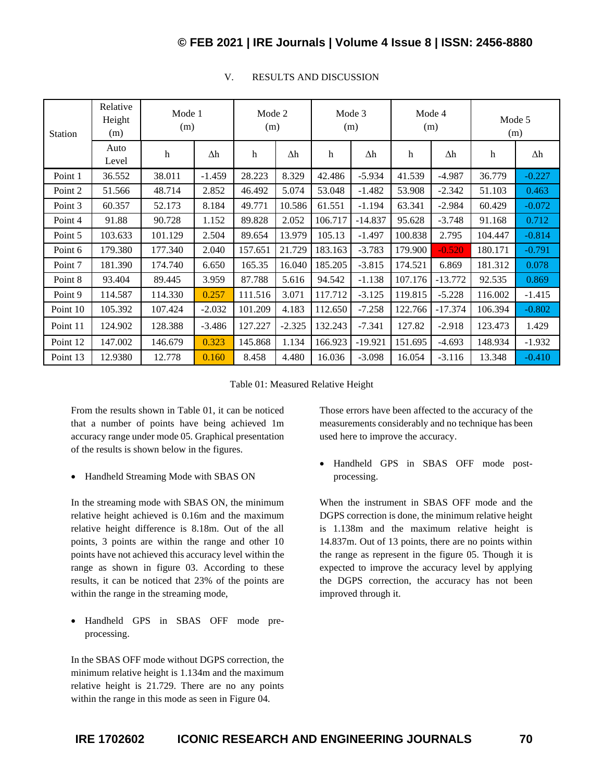# **© FEB 2021 | IRE Journals | Volume 4 Issue 8 | ISSN: 2456-8880**

| <b>Station</b> | Relative<br>Height<br>(m) | Mode 1<br>(m) |          | Mode 2<br>(m) |          | Mode 3<br>(m) |           | Mode 4<br>(m) |           | Mode 5<br>(m) |            |
|----------------|---------------------------|---------------|----------|---------------|----------|---------------|-----------|---------------|-----------|---------------|------------|
|                | Auto<br>Level             | h             | Δh       | h             | Δh       | $\mathbf h$   | Δh        | h             | Δh        | h             | $\Delta h$ |
| Point 1        | 36.552                    | 38.011        | $-1.459$ | 28.223        | 8.329    | 42.486        | $-5.934$  | 41.539        | $-4.987$  | 36.779        | $-0.227$   |
| Point 2        | 51.566                    | 48.714        | 2.852    | 46.492        | 5.074    | 53.048        | $-1.482$  | 53.908        | $-2.342$  | 51.103        | 0.463      |
| Point 3        | 60.357                    | 52.173        | 8.184    | 49.771        | 10.586   | 61.551        | $-1.194$  | 63.341        | $-2.984$  | 60.429        | $-0.072$   |
| Point 4        | 91.88                     | 90.728        | 1.152    | 89.828        | 2.052    | 106.717       | $-14.837$ | 95.628        | $-3.748$  | 91.168        | 0.712      |
| Point 5        | 103.633                   | 101.129       | 2.504    | 89.654        | 13.979   | 105.13        | $-1.497$  | 100.838       | 2.795     | 104.447       | $-0.814$   |
| Point 6        | 179.380                   | 177.340       | 2.040    | 157.651       | 21.729   | 183.163       | $-3.783$  | 179.900       | $-0.520$  | 180.171       | $-0.791$   |
| Point 7        | 181.390                   | 174.740       | 6.650    | 165.35        | 16.040   | 185.205       | $-3.815$  | 174.521       | 6.869     | 181.312       | 0.078      |
| Point 8        | 93.404                    | 89.445        | 3.959    | 87.788        | 5.616    | 94.542        | $-1.138$  | 107.176       | $-13.772$ | 92.535        | 0.869      |
| Point 9        | 114.587                   | 114.330       | 0.257    | 111.516       | 3.071    | 117.712       | $-3.125$  | 119.815       | $-5.228$  | 116.002       | $-1.415$   |
| Point 10       | 105.392                   | 107.424       | $-2.032$ | 101.209       | 4.183    | 112.650       | $-7.258$  | 122.766       | $-17.374$ | 106.394       | $-0.802$   |
| Point 11       | 124.902                   | 128.388       | $-3.486$ | 127.227       | $-2.325$ | 132.243       | $-7.341$  | 127.82        | $-2.918$  | 123.473       | 1.429      |
| Point 12       | 147.002                   | 146.679       | 0.323    | 145.868       | 1.134    | 166.923       | $-19.921$ | 151.695       | $-4.693$  | 148.934       | $-1.932$   |
| Point 13       | 12.9380                   | 12.778        | 0.160    | 8.458         | 4.480    | 16.036        | $-3.098$  | 16.054        | $-3.116$  | 13.348        | $-0.410$   |

## V. RESULTS AND DISCUSSION

Table 01: Measured Relative Height

From the results shown in Table 01, it can be noticed that a number of points have being achieved 1m accuracy range under mode 05. Graphical presentation of the results is shown below in the figures.

• Handheld Streaming Mode with SBAS ON

In the streaming mode with SBAS ON, the minimum relative height achieved is 0.16m and the maximum relative height difference is 8.18m. Out of the all points, 3 points are within the range and other 10 points have not achieved this accuracy level within the range as shown in figure 03. According to these results, it can be noticed that 23% of the points are within the range in the streaming mode,

• Handheld GPS in SBAS OFF mode preprocessing.

In the SBAS OFF mode without DGPS correction, the minimum relative height is 1.134m and the maximum relative height is 21.729. There are no any points within the range in this mode as seen in Figure 04.

Those errors have been affected to the accuracy of the measurements considerably and no technique has been used here to improve the accuracy.

• Handheld GPS in SBAS OFF mode postprocessing.

When the instrument in SBAS OFF mode and the DGPS correction is done, the minimum relative height is 1.138m and the maximum relative height is 14.837m. Out of 13 points, there are no points within the range as represent in the figure 05. Though it is expected to improve the accuracy level by applying the DGPS correction, the accuracy has not been improved through it.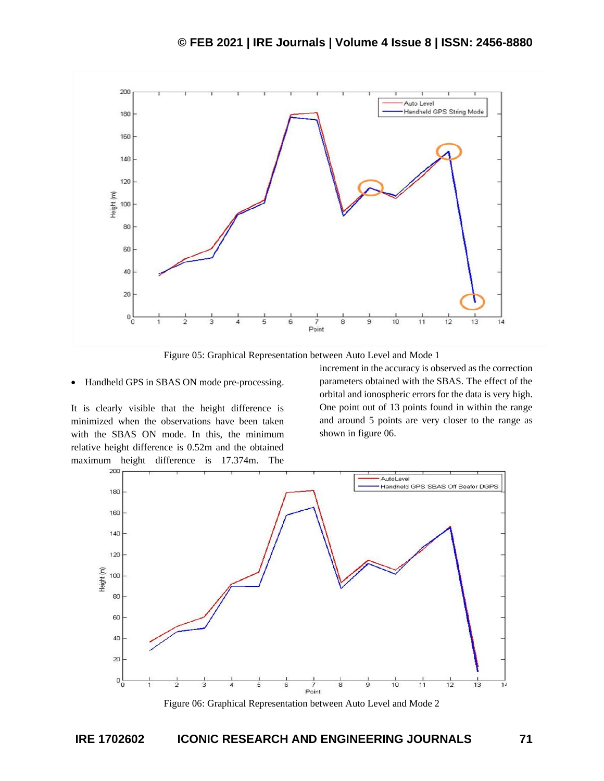

Figure 05: Graphical Representation between Auto Level and Mode 1

#### • Handheld GPS in SBAS ON mode pre-processing.

It is clearly visible that the height difference is minimized when the observations have been taken with the SBAS ON mode. In this, the minimum relative height difference is 0.52m and the obtained maximum height difference is 17.374m. The increment in the accuracy is observed as the correction parameters obtained with the SBAS. The effect of the orbital and ionospheric errors for the data is very high. One point out of 13 points found in within the range and around 5 points are very closer to the range as shown in figure 06.



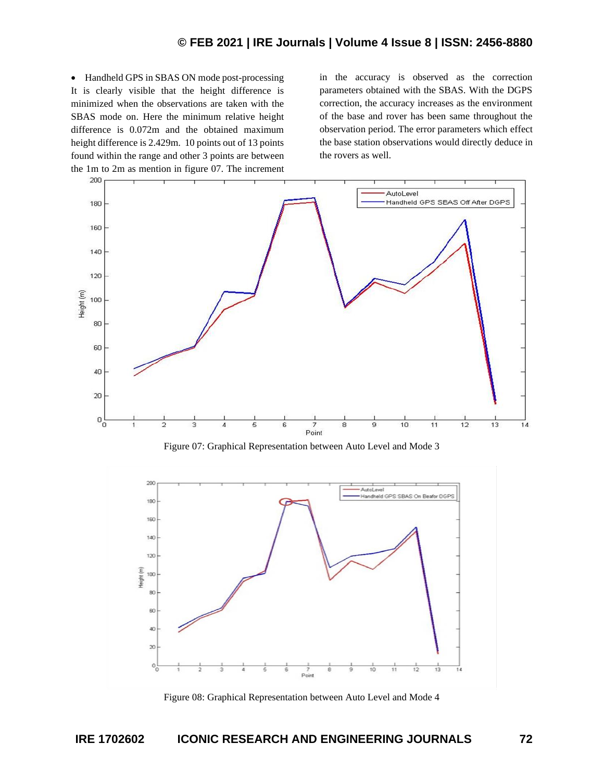• Handheld GPS in SBAS ON mode post-processing It is clearly visible that the height difference is minimized when the observations are taken with the SBAS mode on. Here the minimum relative height difference is 0.072m and the obtained maximum height difference is 2.429m. 10 points out of 13 points found within the range and other 3 points are between the 1m to 2m as mention in figure 07. The increment

in the accuracy is observed as the correction parameters obtained with the SBAS. With the DGPS correction, the accuracy increases as the environment of the base and rover has been same throughout the observation period. The error parameters which effect the base station observations would directly deduce in the rovers as well.



Figure 07: Graphical Representation between Auto Level and Mode 3



Figure 08: Graphical Representation between Auto Level and Mode 4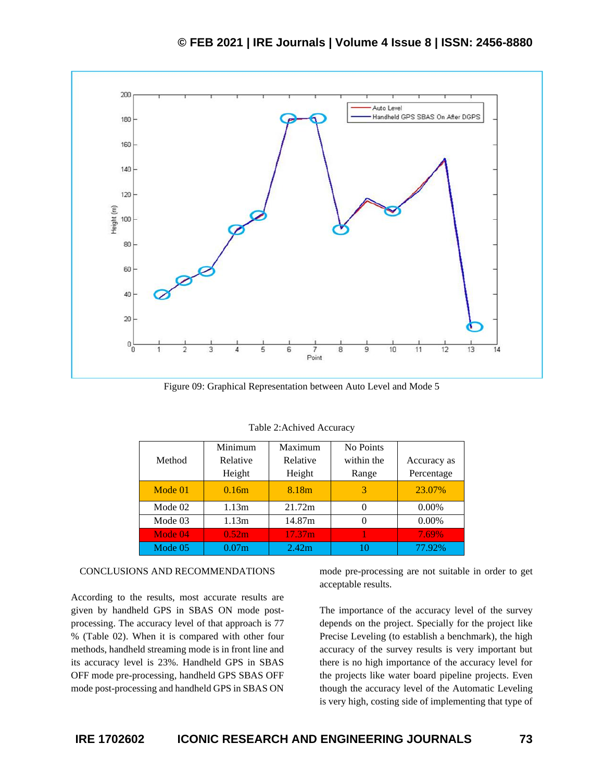

Figure 09: Graphical Representation between Auto Level and Mode 5

| Method  | Minimum<br>Relative<br>Height | Maximum<br>Relative<br>Height | No Points<br>within the<br>Range | Accuracy as<br>Percentage |  |
|---------|-------------------------------|-------------------------------|----------------------------------|---------------------------|--|
| Mode 01 | 0.16m                         | 8.18m                         | 3                                | 23.07%                    |  |
| Mode 02 | 1.13m                         | 21.72m                        | $\theta$                         | $0.00\%$                  |  |
| Mode 03 | 1.13m                         | 14.87m                        | 0                                | $0.00\%$                  |  |
| Mode 04 | 0.52 <sub>m</sub>             | 17.37 <sub>m</sub>            |                                  | 7.69%                     |  |
| Mode 05 | 0.07m                         | 2.42 <sub>m</sub>             | 10                               | 77.92%                    |  |

Table 2:Achived Accuracy

#### CONCLUSIONS AND RECOMMENDATIONS

According to the results, most accurate results are given by handheld GPS in SBAS ON mode postprocessing. The accuracy level of that approach is 77 % (Table 02). When it is compared with other four methods, handheld streaming mode is in front line and its accuracy level is 23%. Handheld GPS in SBAS OFF mode pre-processing, handheld GPS SBAS OFF mode post-processing and handheld GPS in SBAS ON

mode pre-processing are not suitable in order to get acceptable results.

The importance of the accuracy level of the survey depends on the project. Specially for the project like Precise Leveling (to establish a benchmark), the high accuracy of the survey results is very important but there is no high importance of the accuracy level for the projects like water board pipeline projects. Even though the accuracy level of the Automatic Leveling is very high, costing side of implementing that type of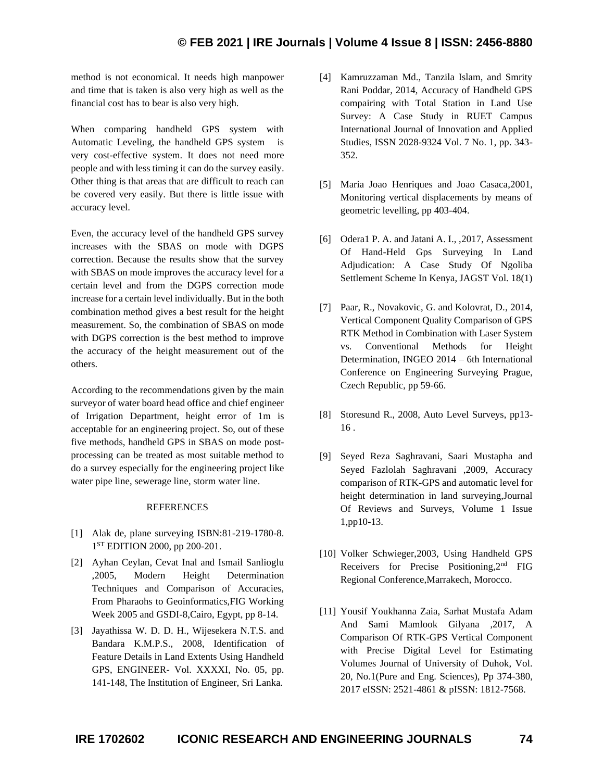## **© FEB 2021 | IRE Journals | Volume 4 Issue 8 | ISSN: 2456-8880**

method is not economical. It needs high manpower and time that is taken is also very high as well as the financial cost has to bear is also very high.

When comparing handheld GPS system with Automatic Leveling, the handheld GPS system is very cost-effective system. It does not need more people and with less timing it can do the survey easily. Other thing is that areas that are difficult to reach can be covered very easily. But there is little issue with accuracy level.

Even, the accuracy level of the handheld GPS survey increases with the SBAS on mode with DGPS correction. Because the results show that the survey with SBAS on mode improves the accuracy level for a certain level and from the DGPS correction mode increase for a certain level individually. But in the both combination method gives a best result for the height measurement. So, the combination of SBAS on mode with DGPS correction is the best method to improve the accuracy of the height measurement out of the others.

According to the recommendations given by the main surveyor of water board head office and chief engineer of Irrigation Department, height error of 1m is acceptable for an engineering project. So, out of these five methods, handheld GPS in SBAS on mode postprocessing can be treated as most suitable method to do a survey especially for the engineering project like water pipe line, sewerage line, storm water line.

#### **REFERENCES**

- [1] Alak de, plane surveying ISBN:81-219-1780-8. 1<sup>ST</sup> EDITION 2000, pp 200-201.
- [2] Ayhan Ceylan, Cevat Inal and Ismail Sanlioglu ,2005, Modern Height Determination Techniques and Comparison of Accuracies, From Pharaohs to Geoinformatics,FIG Working Week 2005 and GSDI-8,Cairo, Egypt, pp 8-14.
- [3] Jayathissa W. D. D. H., Wijesekera N.T.S. and Bandara K.M.P.S., 2008, Identification of Feature Details in Land Extents Using Handheld GPS, ENGINEER- Vol. XXXXI, No. 05, pp. 141-148, The Institution of Engineer, Sri Lanka.
- [4] Kamruzzaman Md., Tanzila Islam, and Smrity Rani Poddar, 2014, Accuracy of Handheld GPS compairing with Total Station in Land Use Survey: A Case Study in RUET Campus International Journal of Innovation and Applied Studies, ISSN 2028-9324 Vol. 7 No. 1, pp. 343- 352.
- [5] Maria Joao Henriques and Joao Casaca,2001, Monitoring vertical displacements by means of geometric levelling, pp 403-404.
- [6] Odera1 P. A. and Jatani A. I., ,2017, Assessment Of Hand-Held Gps Surveying In Land Adjudication: A Case Study Of Ngoliba Settlement Scheme In Kenya, JAGST Vol. 18(1)
- [7] Paar, R., Novakovic, G. and Kolovrat, D., 2014, Vertical Component Quality Comparison of GPS RTK Method in Combination with Laser System vs. Conventional Methods for Height Determination, INGEO 2014 – 6th International Conference on Engineering Surveying Prague, Czech Republic, pp 59-66.
- [8] Storesund R., 2008, Auto Level Surveys, pp13- 16 .
- [9] Seyed Reza Saghravani, Saari Mustapha and Seyed Fazlolah Saghravani ,2009, Accuracy comparison of RTK-GPS and automatic level for height determination in land surveying,Journal Of Reviews and Surveys, Volume 1 Issue 1,pp10-13.
- [10] Volker Schwieger,2003, Using Handheld GPS Receivers for Precise Positioning,2nd FIG Regional Conference,Marrakech, Morocco.
- [11] Yousif Youkhanna Zaia, Sarhat Mustafa Adam And Sami Mamlook Gilyana ,2017, A Comparison Of RTK-GPS Vertical Component with Precise Digital Level for Estimating Volumes Journal of University of Duhok, Vol. 20, No.1(Pure and Eng. Sciences), Pp 374-380, 2017 eISSN: 2521-4861 & pISSN: 1812-7568.